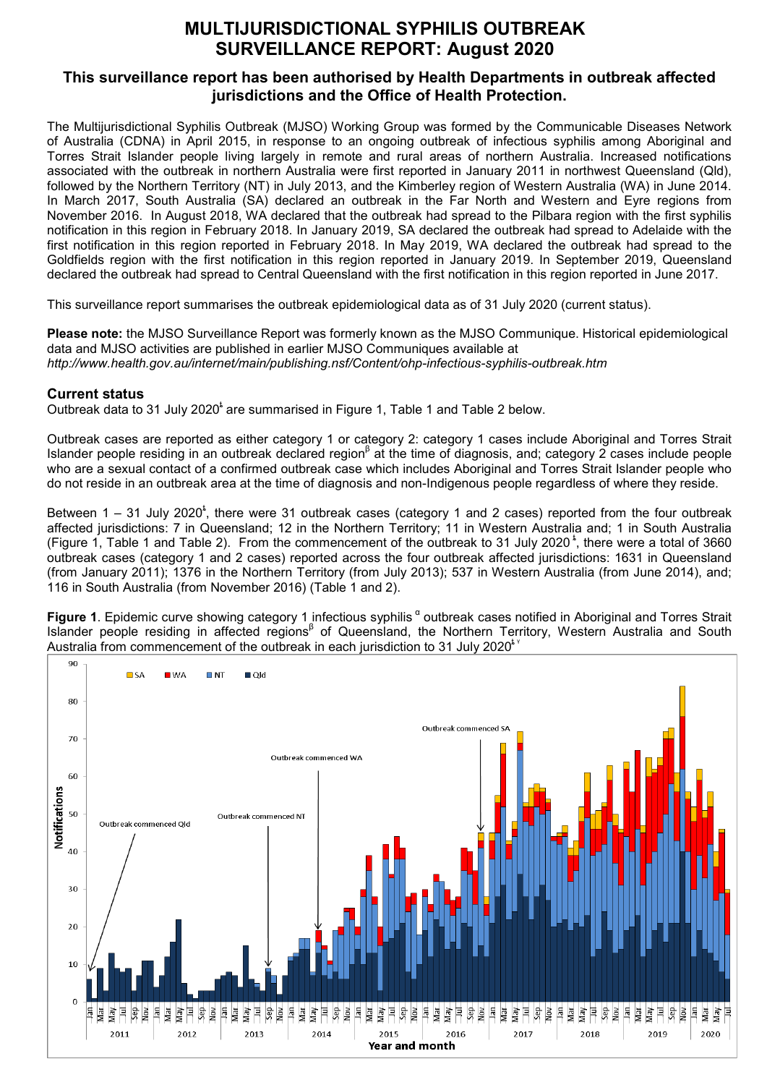# **MULTIJURISDICTIONAL SYPHILIS OUTBREAK SURVEILLANCE REPORT: August 2020**

## **This surveillance report has been authorised by Health Departments in outbreak affected jurisdictions and the Office of Health Protection.**

The Multijurisdictional Syphilis Outbreak (MJSO) Working Group was formed by the Communicable Diseases Network of Australia (CDNA) in April 2015, in response to an ongoing outbreak of infectious syphilis among Aboriginal and Torres Strait Islander people living largely in remote and rural areas of northern Australia. Increased notifications associated with the outbreak in northern Australia were first reported in January 2011 in northwest Queensland (Qld), followed by the Northern Territory (NT) in July 2013, and the Kimberley region of Western Australia (WA) in June 2014. In March 2017, South Australia (SA) declared an outbreak in the Far North and Western and Eyre regions from November 2016. In August 2018, WA declared that the outbreak had spread to the Pilbara region with the first syphilis notification in this region in February 2018. In January 2019, SA declared the outbreak had spread to Adelaide with the first notification in this region reported in February 2018. In May 2019, WA declared the outbreak had spread to the Goldfields region with the first notification in this region reported in January 2019. In September 2019, Queensland declared the outbreak had spread to Central Queensland with the first notification in this region reported in June 2017.

This surveillance report summarises the outbreak epidemiological data as of 31 July 2020 (current status).

**Please note:** the MJSO Surveillance Report was formerly known as the MJSO Communique. Historical epidemiological data and MJSO activities are published in earlier MJSO Communiques available at *http://www.health.gov.au/internet/main/publishing.nsf/Content/ohp-infectious-syphilis-outbreak.htm* 

### **Current status**

Outbreak data to 31 July 2020<sup>t</sup> are summarised in Figure 1. Table 1 and Table 2 below.

Outbreak cases are reported as either category 1 or category 2: category 1 cases include Aboriginal and Torres Strait Islander people residing in an outbreak declared region<sup>β</sup> at the time of diagnosis, and; category 2 cases include people who are a sexual contact of a confirmed outbreak case which includes Aboriginal and Torres Strait Islander people who do not reside in an outbreak area at the time of diagnosis and non-Indigenous people regardless of where they reside.

Between 1 – 31 July 2020<sup>t</sup>, there were 31 outbreak cases (category 1 and 2 cases) reported from the four outbreak affected jurisdictions: 7 in Queensland; 12 in the Northern Territory; 11 in Western Australia and; 1 in South Australia (Figure 1, Table 1 and Table 2). From the commencement of the outbreak to 31 July 2020<sup>t</sup>, there were a total of 3660 outbreak cases (category 1 and 2 cases) reported across the four outbreak affected jurisdictions: 1631 in Queensland (from January 2011); 1376 in the Northern Territory (from July 2013); 537 in Western Australia (from June 2014), and; 116 in South Australia (from November 2016) (Table 1 and 2).

**Figure 1**. Epidemic curve showing category 1 infectious syphilis <sup>α</sup> outbreak cases notified in Aboriginal and Torres Strait Islander people residing in affected regions<sup>β</sup> of Queensland, the Northern Territory, Western Australia and South Australia from commencement of the outbreak in each jurisdiction to 31 July 2020 $^{\prime}$